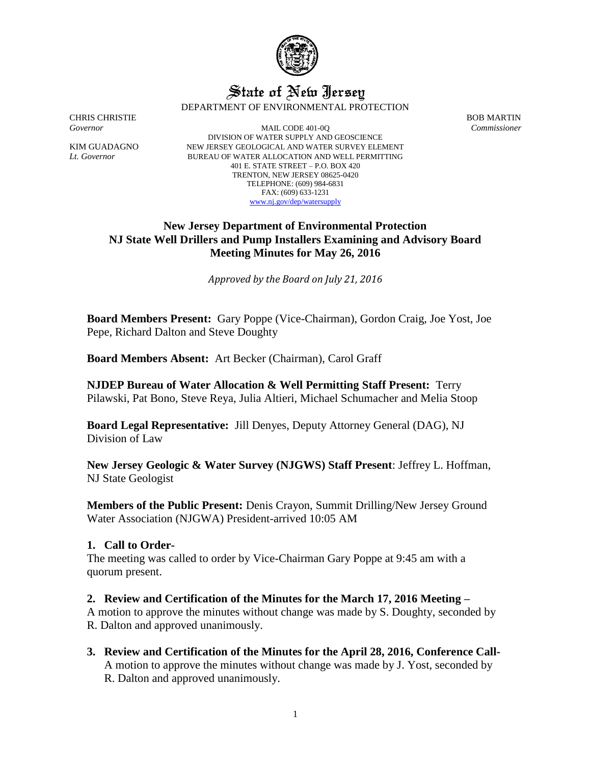

# State of New Jersey

DEPARTMENT OF ENVIRONMENTAL PROTECTION

CHRIS CHRISTIE BOB MARTIN

*Governor* MAIL CODE 401-0Q *Commissioner* DIVISION OF WATER SUPPLY AND GEOSCIENCE KIM GUADAGNO NEW JERSEY GEOLOGICAL AND WATER SURVEY ELEMENT *Lt. Governor* BUREAU OF WATER ALLOCATION AND WELL PERMITTING 401 E. STATE STREET – P.O. BOX 420 TRENTON, NEW JERSEY 08625-0420 TELEPHONE: (609) 984-6831 FAX: (609) 633-1231 [www.nj.gov/dep/watersupply](http://www.nj.gov/dep/watersupply)

# **New Jersey Department of Environmental Protection NJ State Well Drillers and Pump Installers Examining and Advisory Board Meeting Minutes for May 26, 2016**

*Approved by the Board on July 21, 2016*

**Board Members Present:** Gary Poppe (Vice-Chairman), Gordon Craig, Joe Yost, Joe Pepe, Richard Dalton and Steve Doughty

**Board Members Absent:** Art Becker (Chairman), Carol Graff

**NJDEP Bureau of Water Allocation & Well Permitting Staff Present:** Terry Pilawski, Pat Bono, Steve Reya, Julia Altieri, Michael Schumacher and Melia Stoop

**Board Legal Representative:** Jill Denyes, Deputy Attorney General (DAG), NJ Division of Law

**New Jersey Geologic & Water Survey (NJGWS) Staff Present**: Jeffrey L. Hoffman, NJ State Geologist

**Members of the Public Present:** Denis Crayon, Summit Drilling/New Jersey Ground Water Association (NJGWA) President-arrived 10:05 AM

# **1. Call to Order-**

The meeting was called to order by Vice-Chairman Gary Poppe at 9:45 am with a quorum present.

# **2. Review and Certification of the Minutes for the March 17, 2016 Meeting –**

A motion to approve the minutes without change was made by S. Doughty, seconded by R. Dalton and approved unanimously.

**3. Review and Certification of the Minutes for the April 28, 2016, Conference Call-**A motion to approve the minutes without change was made by J. Yost, seconded by R. Dalton and approved unanimously.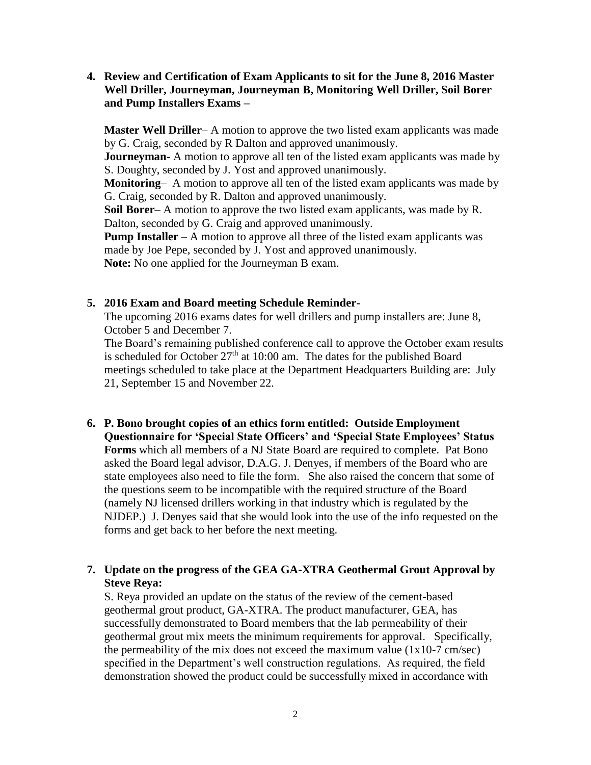**4. Review and Certification of Exam Applicants to sit for the June 8, 2016 Master Well Driller, Journeyman, Journeyman B, Monitoring Well Driller, Soil Borer and Pump Installers Exams –**

**Master Well Driller**– A motion to approve the two listed exam applicants was made by G. Craig, seconded by R Dalton and approved unanimously. **Journeyman-** A motion to approve all ten of the listed exam applicants was made by S. Doughty, seconded by J. Yost and approved unanimously. **Monitoring**– A motion to approve all ten of the listed exam applicants was made by G. Craig, seconded by R. Dalton and approved unanimously. **Soil Borer**– A motion to approve the two listed exam applicants, was made by R. Dalton, seconded by G. Craig and approved unanimously. **Pump Installer** – A motion to approve all three of the listed exam applicants was made by Joe Pepe, seconded by J. Yost and approved unanimously.

**Note:** No one applied for the Journeyman B exam.

#### **5. 2016 Exam and Board meeting Schedule Reminder-**

The upcoming 2016 exams dates for well drillers and pump installers are: June 8, October 5 and December 7.

The Board's remaining published conference call to approve the October exam results is scheduled for October  $27<sup>th</sup>$  at 10:00 am. The dates for the published Board meetings scheduled to take place at the Department Headquarters Building are: July 21, September 15 and November 22.

**6. P. Bono brought copies of an ethics form entitled: Outside Employment Questionnaire for 'Special State Officers' and 'Special State Employees' Status Forms** which all members of a NJ State Board are required to complete. Pat Bono asked the Board legal advisor, D.A.G. J. Denyes, if members of the Board who are state employees also need to file the form. She also raised the concern that some of the questions seem to be incompatible with the required structure of the Board (namely NJ licensed drillers working in that industry which is regulated by the NJDEP.) J. Denyes said that she would look into the use of the info requested on the forms and get back to her before the next meeting.

# **7. Update on the progress of the GEA GA-XTRA Geothermal Grout Approval by Steve Reya:**

S. Reya provided an update on the status of the review of the cement-based geothermal grout product, GA-XTRA. The product manufacturer, GEA, has successfully demonstrated to Board members that the lab permeability of their geothermal grout mix meets the minimum requirements for approval. Specifically, the permeability of the mix does not exceed the maximum value  $(1x10-7 \text{ cm/sec})$ specified in the Department's well construction regulations. As required, the field demonstration showed the product could be successfully mixed in accordance with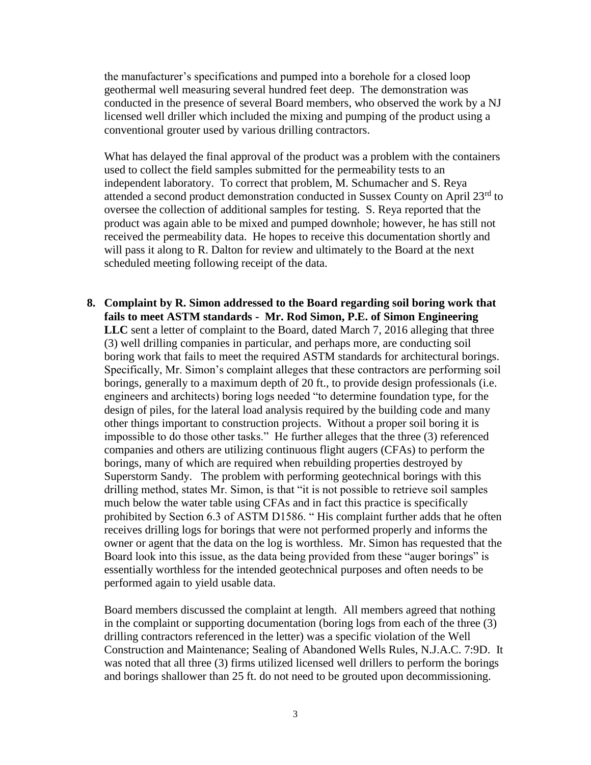the manufacturer's specifications and pumped into a borehole for a closed loop geothermal well measuring several hundred feet deep. The demonstration was conducted in the presence of several Board members, who observed the work by a NJ licensed well driller which included the mixing and pumping of the product using a conventional grouter used by various drilling contractors.

What has delayed the final approval of the product was a problem with the containers used to collect the field samples submitted for the permeability tests to an independent laboratory. To correct that problem, M. Schumacher and S. Reya attended a second product demonstration conducted in Sussex County on April 23rd to oversee the collection of additional samples for testing. S. Reya reported that the product was again able to be mixed and pumped downhole; however, he has still not received the permeability data. He hopes to receive this documentation shortly and will pass it along to R. Dalton for review and ultimately to the Board at the next scheduled meeting following receipt of the data.

**8. Complaint by R. Simon addressed to the Board regarding soil boring work that fails to meet ASTM standards - Mr. Rod Simon, P.E. of Simon Engineering LLC** sent a letter of complaint to the Board, dated March 7, 2016 alleging that three (3) well drilling companies in particular, and perhaps more, are conducting soil boring work that fails to meet the required ASTM standards for architectural borings. Specifically, Mr. Simon's complaint alleges that these contractors are performing soil borings, generally to a maximum depth of 20 ft., to provide design professionals (i.e. engineers and architects) boring logs needed "to determine foundation type, for the design of piles, for the lateral load analysis required by the building code and many other things important to construction projects. Without a proper soil boring it is impossible to do those other tasks." He further alleges that the three (3) referenced companies and others are utilizing continuous flight augers (CFAs) to perform the borings, many of which are required when rebuilding properties destroyed by Superstorm Sandy. The problem with performing geotechnical borings with this drilling method, states Mr. Simon, is that "it is not possible to retrieve soil samples much below the water table using CFAs and in fact this practice is specifically prohibited by Section 6.3 of ASTM D1586. " His complaint further adds that he often receives drilling logs for borings that were not performed properly and informs the owner or agent that the data on the log is worthless. Mr. Simon has requested that the Board look into this issue, as the data being provided from these "auger borings" is essentially worthless for the intended geotechnical purposes and often needs to be performed again to yield usable data.

Board members discussed the complaint at length. All members agreed that nothing in the complaint or supporting documentation (boring logs from each of the three (3) drilling contractors referenced in the letter) was a specific violation of the Well Construction and Maintenance; Sealing of Abandoned Wells Rules, N.J.A.C. 7:9D. It was noted that all three (3) firms utilized licensed well drillers to perform the borings and borings shallower than 25 ft. do not need to be grouted upon decommissioning.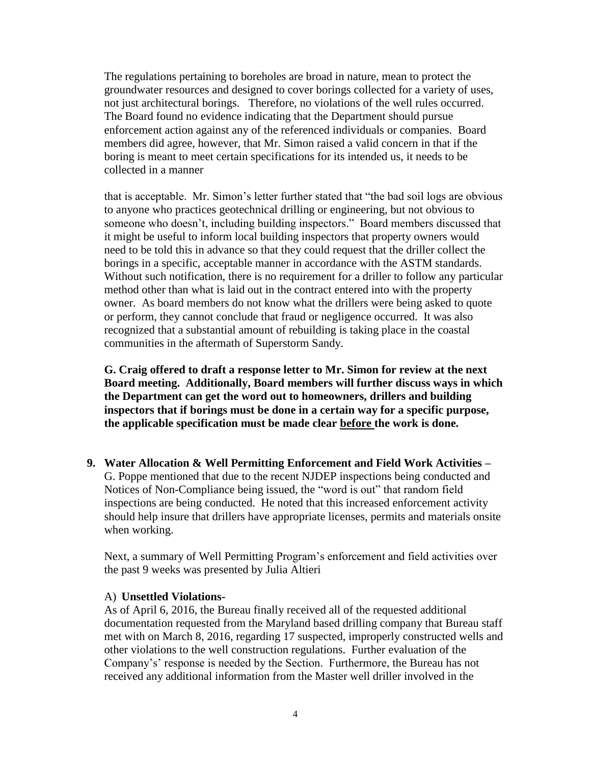The regulations pertaining to boreholes are broad in nature, mean to protect the groundwater resources and designed to cover borings collected for a variety of uses, not just architectural borings. Therefore, no violations of the well rules occurred. The Board found no evidence indicating that the Department should pursue enforcement action against any of the referenced individuals or companies. Board members did agree, however, that Mr. Simon raised a valid concern in that if the boring is meant to meet certain specifications for its intended us, it needs to be collected in a manner

that is acceptable. Mr. Simon's letter further stated that "the bad soil logs are obvious to anyone who practices geotechnical drilling or engineering, but not obvious to someone who doesn't, including building inspectors." Board members discussed that it might be useful to inform local building inspectors that property owners would need to be told this in advance so that they could request that the driller collect the borings in a specific, acceptable manner in accordance with the ASTM standards. Without such notification, there is no requirement for a driller to follow any particular method other than what is laid out in the contract entered into with the property owner. As board members do not know what the drillers were being asked to quote or perform, they cannot conclude that fraud or negligence occurred. It was also recognized that a substantial amount of rebuilding is taking place in the coastal communities in the aftermath of Superstorm Sandy.

**G. Craig offered to draft a response letter to Mr. Simon for review at the next Board meeting. Additionally, Board members will further discuss ways in which the Department can get the word out to homeowners, drillers and building inspectors that if borings must be done in a certain way for a specific purpose, the applicable specification must be made clear before the work is done.**

**9. Water Allocation & Well Permitting Enforcement and Field Work Activities –** G. Poppe mentioned that due to the recent NJDEP inspections being conducted and Notices of Non-Compliance being issued, the "word is out" that random field inspections are being conducted. He noted that this increased enforcement activity should help insure that drillers have appropriate licenses, permits and materials onsite when working.

Next, a summary of Well Permitting Program's enforcement and field activities over the past 9 weeks was presented by Julia Altieri

#### A) **Unsettled Violations-**

As of April 6, 2016, the Bureau finally received all of the requested additional documentation requested from the Maryland based drilling company that Bureau staff met with on March 8, 2016, regarding 17 suspected, improperly constructed wells and other violations to the well construction regulations. Further evaluation of the Company's' response is needed by the Section. Furthermore, the Bureau has not received any additional information from the Master well driller involved in the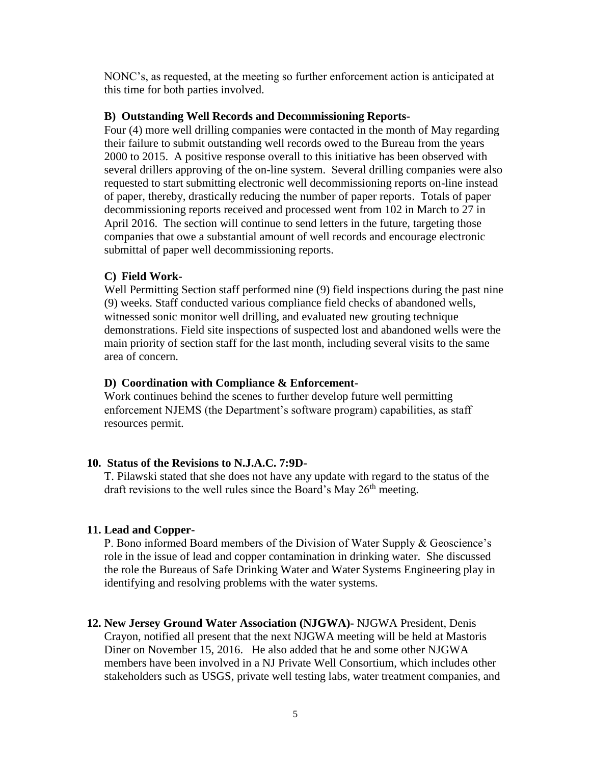NONC's, as requested, at the meeting so further enforcement action is anticipated at this time for both parties involved.

#### **B) Outstanding Well Records and Decommissioning Reports-**

Four (4) more well drilling companies were contacted in the month of May regarding their failure to submit outstanding well records owed to the Bureau from the years 2000 to 2015. A positive response overall to this initiative has been observed with several drillers approving of the on-line system. Several drilling companies were also requested to start submitting electronic well decommissioning reports on-line instead of paper, thereby, drastically reducing the number of paper reports. Totals of paper decommissioning reports received and processed went from 102 in March to 27 in April 2016. The section will continue to send letters in the future, targeting those companies that owe a substantial amount of well records and encourage electronic submittal of paper well decommissioning reports.

## **C) Field Work-**

Well Permitting Section staff performed nine (9) field inspections during the past nine (9) weeks. Staff conducted various compliance field checks of abandoned wells, witnessed sonic monitor well drilling, and evaluated new grouting technique demonstrations. Field site inspections of suspected lost and abandoned wells were the main priority of section staff for the last month, including several visits to the same area of concern.

#### **D) Coordination with Compliance & Enforcement-**

Work continues behind the scenes to further develop future well permitting enforcement NJEMS (the Department's software program) capabilities, as staff resources permit.

## **10. Status of the Revisions to N.J.A.C. 7:9D-**

T. Pilawski stated that she does not have any update with regard to the status of the draft revisions to the well rules since the Board's May  $26<sup>th</sup>$  meeting.

#### **11. Lead and Copper-**

P. Bono informed Board members of the Division of Water Supply & Geoscience's role in the issue of lead and copper contamination in drinking water. She discussed the role the Bureaus of Safe Drinking Water and Water Systems Engineering play in identifying and resolving problems with the water systems.

## **12. New Jersey Ground Water Association (NJGWA)-** NJGWA President, Denis

Crayon, notified all present that the next NJGWA meeting will be held at Mastoris Diner on November 15, 2016. He also added that he and some other NJGWA members have been involved in a NJ Private Well Consortium, which includes other stakeholders such as USGS, private well testing labs, water treatment companies, and